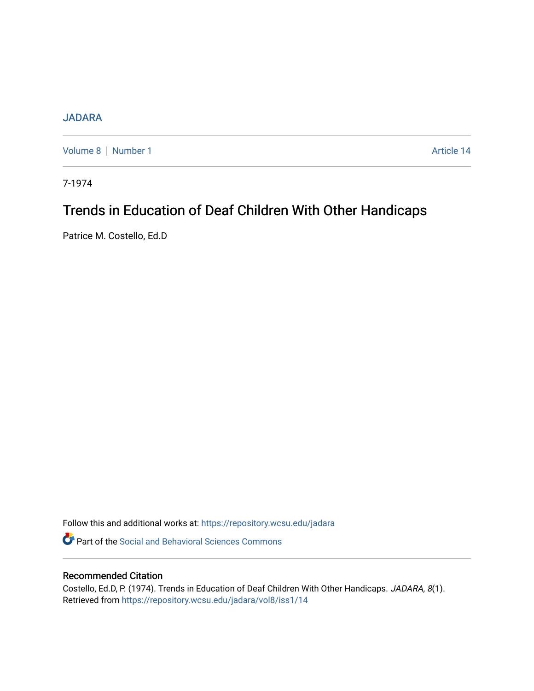## [JADARA](https://repository.wcsu.edu/jadara)

[Volume 8](https://repository.wcsu.edu/jadara/vol8) | [Number 1](https://repository.wcsu.edu/jadara/vol8/iss1) Article 14

7-1974

# Trends in Education of Deaf Children With Other Handicaps

Patrice M. Costello, Ed.D

Follow this and additional works at: [https://repository.wcsu.edu/jadara](https://repository.wcsu.edu/jadara?utm_source=repository.wcsu.edu%2Fjadara%2Fvol8%2Fiss1%2F14&utm_medium=PDF&utm_campaign=PDFCoverPages)

**P** Part of the Social and Behavioral Sciences Commons

## Recommended Citation

Costello, Ed.D, P. (1974). Trends in Education of Deaf Children With Other Handicaps. JADARA, 8(1). Retrieved from [https://repository.wcsu.edu/jadara/vol8/iss1/14](https://repository.wcsu.edu/jadara/vol8/iss1/14?utm_source=repository.wcsu.edu%2Fjadara%2Fvol8%2Fiss1%2F14&utm_medium=PDF&utm_campaign=PDFCoverPages)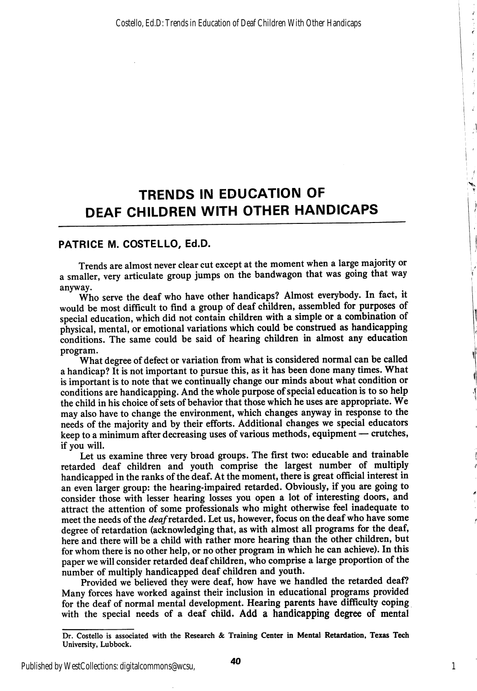ź

Ť  $\bar{J}$ 

> $\epsilon$ Ż

> > $\hat{\mathbf{r}}$

## TRENDS IN EDUCATION OF DEAF CHILDREN WITH OTHER HANDICAPS

### PATRICE M. COSTELLO, Ed.D.

Trends are almost never clear cut except at the moment when a large majority or a smaller, very articulate group jumps on the bandwagon that was going that way anyway.

Who serve the deaf who have other handicaps? Almost everybody. In fact, it would be most difficult to find a group of deaf children, assembled for purposes of special education, which did not contain children with a simple or a combination of physical, mental, or emotional variations which could be construed as handicapping conditions. The same could be said of hearing children in almost any education program.

What degree of defect or variation from what is considered normal can be called a handicap? It is not important to pursue this, as it has been done many times. What is important is to note that we continually change our minds about what condition or conditions are handicapping. And the whole purpose of special education is to so help the child in his choice of sets of behavior that those which he uses are appropriate. We may also have to change the environment, which changes anyway in response to the needs of the majority and by their efforts. Additional changes we special educators keep to a minimum after decreasing uses of various methods, equipment — crutches, if you will.

Let us examine three very broad groups. The first two: educable and trainable retarded deaf children and youth comprise the largest number of multiply handicapped in the ranks of the deaf. At the moment, there is great official interest in an even larger group: the hearing-impaired retarded. Obviously, if you are going to consider those with lesser hearing losses you open a lot of interesting doors, and attract the attention of some professionals who might otherwise feel inadequate to meet the needs of the *deaf* retarded. Let us, however, focus on the deaf who have some degree of retardation (acknowledging that, as with almost all programs for the deaf, here and there will be a child with rather more hearing than the other children, but for whom there is no other help, or no other program in which he can achieve). In this paper we will consider retarded deaf children, who comprise a large proportion of the number of multiply handicapped deaf children and youth.

Provided we believed they were deaf, how have we handled the retarded deaf? Many forces have worked against their inclusion in educational programs provided for the deaf of normal mental development. Hearing parents have difficulty coping with the special needs of a deaf child. Add a handicapping degree of mental

Dr. Costello is associated with the Research & Training Center in Mental Retardation, Texas Tech University, Lubbock.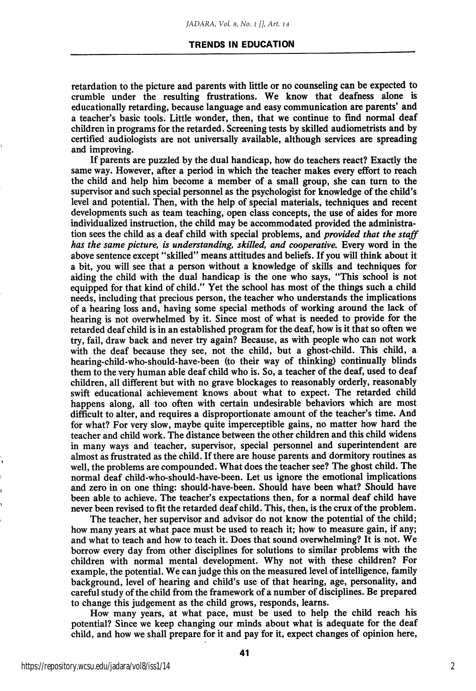#### TRENDS IN EDUCATION

retardation to the picture and parents with little or no counseling can be expected to crumble under the resulting frustrations. We know that deafness alone is educationally retarding, because language and easy communication are parents' and a teacher's basic tools. Little wonder, then, that we continue to find normal deaf children in programs for the retarded. Screening tests by skilled audiometrists and by certified audiologists are not universally available, although services are spreading and improving.

If parents are puzzled by the dual handicap, how do teachers react? Exactly the same way. However, after a period in which the teacher makes every effort to reach the child and help him become a member of a small group, she can turn to the supervisor and such special personnel as the psychologist for knowledge of the child's level and potential. Then, with the help of special materials, techniques and recent developments such as team teaching, open class concepts, the use of aides for more individualized instruction, the child may be accommodated provided the administra tion sees the child as a deaf child with special problems, and *provided that the staff* has the same picture, is understanding, skilled, and cooperative. Every word in the above sentence except "skilled" means attitudes and beliefs. If you will think about it a bit, you will see that a person without a knowledge of skills and techniques for aiding the child with the dual handicap is the one who says, "This school is not equipped for that kind of child." Yet the school has most of the things such a child needs, including that precious person, the teacher who understands the implications of a hearing loss and, having some special methods of working around the lack of hearing is not overwhelmed by it. Since most of what is needed to provide for the retarded deaf child is in an established program for the deaf, how is it that so often we try, fail, draw back and never try again? Because, as with people who can not work with the deaf because they see, not the child, but a ghost-child. This child, a hearing-child-who-should-have-been (to their way of thinking) continually blinds them to the very human able deaf child who is. So, a teacher of the deaf, used to deaf children, all different but with no grave blockages to reasonably orderly, reasonably swift educational achievement knows about what to expect. The retarded child happens along, all too often with certain undesirable behaviors which are most difficult to alter, and requires a disproportionate amount of the teacher's time. And for what? For very slow, maybe quite imperceptible gains, no matter how hard the teacher and child work. The distance between the other children and this child widens in many ways and teacher, supervisor, special personnel and superintendent are almost as frustrated as the child. If there are house parents and dormitory routines as well, the problems are compounded. What does the teacher see? The ghost child. The normal deaf child-who-should-have-been. Let us ignore the emotional implications and zero in on one thing: should-have-been. Should have been what? Should have been able to achieve. The teacher's expectations then, for a normal deaf child have never been revised to fit the retarded deaf child. This, then, is the crux of the problem.

The teacher, her supervisor and advisor do not know the potential of the child; how many years at what pace must be used to reach it; how to measure gain, if any; and what to teach and how to teach it. Does that sound overwhelming? It is not. We borrow every day from other disciplines for solutions to similar problems with the children with normal mental development. Why not with these children? For example, the potential. We can judge this on the measured level of intelligence, family background, level of hearing and child's use of that hearing, age, personality, and careful study of the child from the framework of a number of disciplines. Be prepared to change this judgement as the child grows, responds, learns.

How many years, at what pace, must be used to help the child reach his potential? Since we keep changing our minds about what is adequate for the deaf child, and how we shall prepare for it and pay for it, expect changes of opinion here,

2